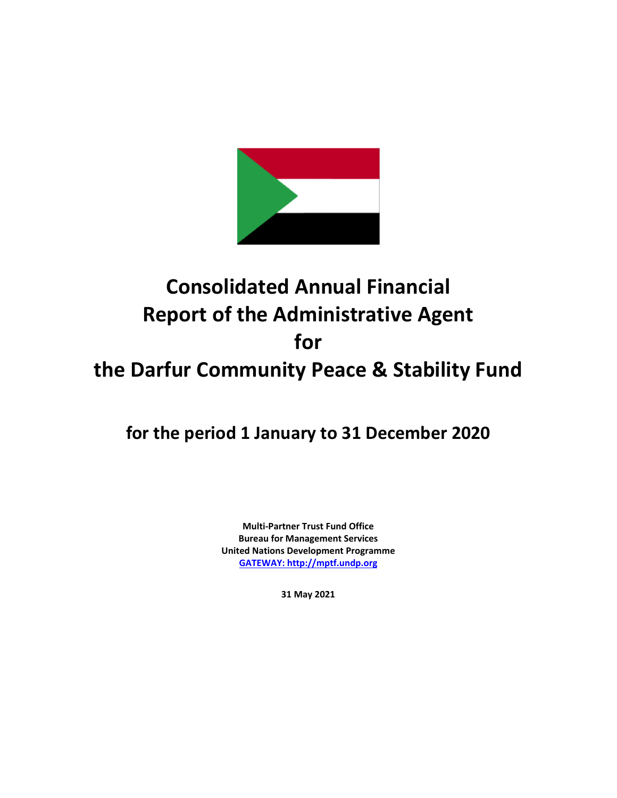

# **Consolidated Annual Financial Report of the Administrative Agent for the Darfur Community Peace & Stability Fund**

**for the period 1 January to 31 December 2020**

**Multi‐Partner Trust Fund Office Bureau for Management Services United Nations Development Programme GATEWAY: http://mptf.undp.org**

**31 May 2021**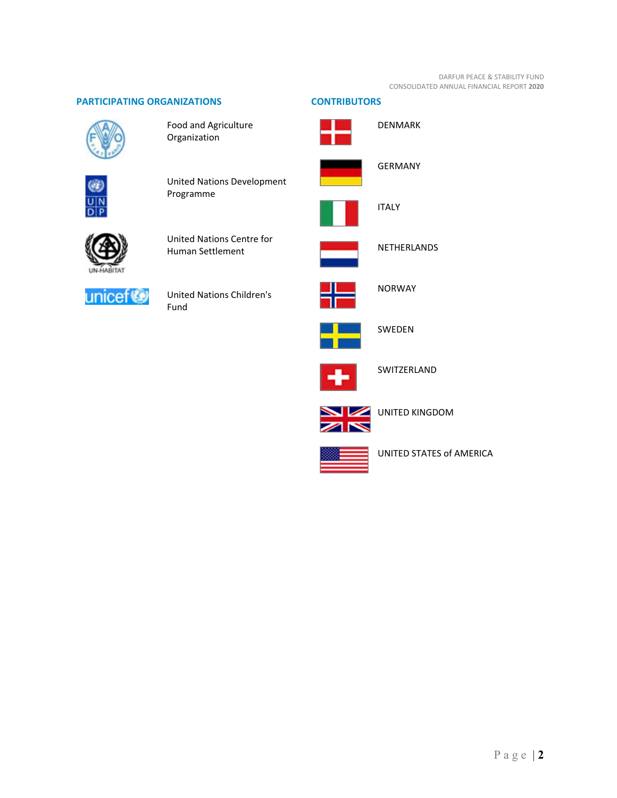# **PARTICIPATING ORGANIZATIONS CONTRIBUTORS**



Food and Agriculture Organization



United Nations Development Programme



United Nations Centre for Human Settlement



United Nations Children's Fund



SWEDEN

NORWAY

DENMARK

GERMANY

NETHERLANDS

ITALY



SWITZERLAND



UNITED KINGDOM



UNITED STATES of AMERICA

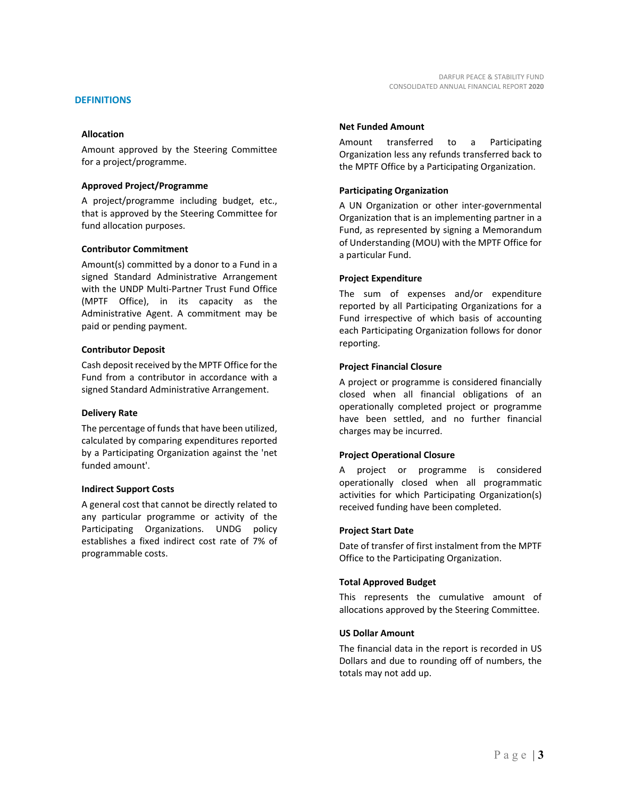# **DEFINITIONS**

# **Allocation**

Amount approved by the Steering Committee for a project/programme.

# **Approved Project/Programme**

A project/programme including budget, etc., that is approved by the Steering Committee for fund allocation purposes.

# **Contributor Commitment**

Amount(s) committed by a donor to a Fund in a signed Standard Administrative Arrangement with the UNDP Multi‐Partner Trust Fund Office (MPTF Office), in its capacity as the Administrative Agent. A commitment may be paid or pending payment.

# **Contributor Deposit**

Cash deposit received by the MPTF Office forthe Fund from a contributor in accordance with a signed Standard Administrative Arrangement.

# **Delivery Rate**

The percentage of funds that have been utilized, calculated by comparing expenditures reported by a Participating Organization against the 'net funded amount'.

# **Indirect Support Costs**

A general cost that cannot be directly related to any particular programme or activity of the Participating Organizations. UNDG policy establishes a fixed indirect cost rate of 7% of programmable costs.

# **Net Funded Amount**

Amount transferred to a Participating Organization less any refunds transferred back to the MPTF Office by a Participating Organization.

# **Participating Organization**

A UN Organization or other inter‐governmental Organization that is an implementing partner in a Fund, as represented by signing a Memorandum of Understanding (MOU) with the MPTF Office for a particular Fund.

# **Project Expenditure**

The sum of expenses and/or expenditure reported by all Participating Organizations for a Fund irrespective of which basis of accounting each Participating Organization follows for donor reporting.

# **Project Financial Closure**

A project or programme is considered financially closed when all financial obligations of an operationally completed project or programme have been settled, and no further financial charges may be incurred.

# **Project Operational Closure**

A project or programme is considered operationally closed when all programmatic activities for which Participating Organization(s) received funding have been completed.

# **Project Start Date**

Date of transfer of first instalment from the MPTF Office to the Participating Organization.

# **Total Approved Budget**

This represents the cumulative amount of allocations approved by the Steering Committee.

# **US Dollar Amount**

The financial data in the report is recorded in US Dollars and due to rounding off of numbers, the totals may not add up.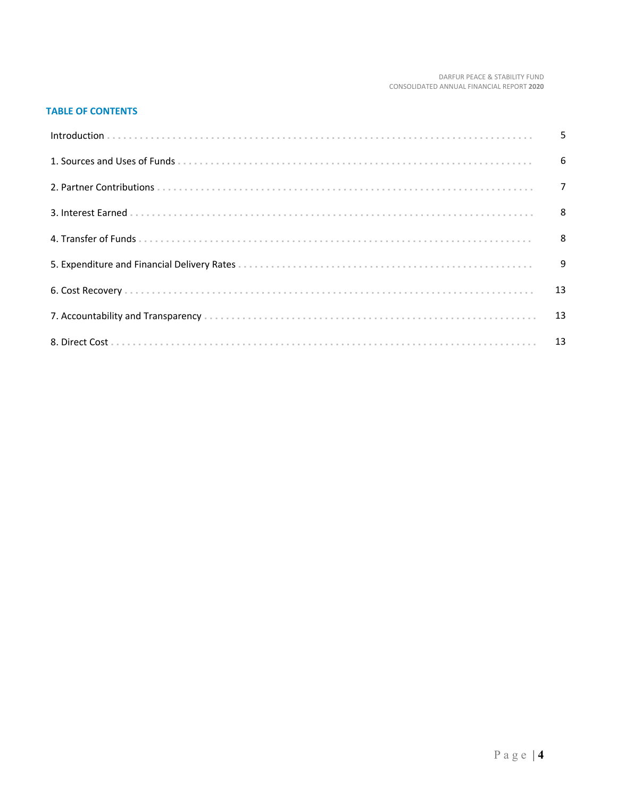# DARFUR PEACE & STABILITY FUND<br>CONSOLIDATED ANNUAL FINANCIAL REPORT 2020

# **TABLE OF CONTENTS**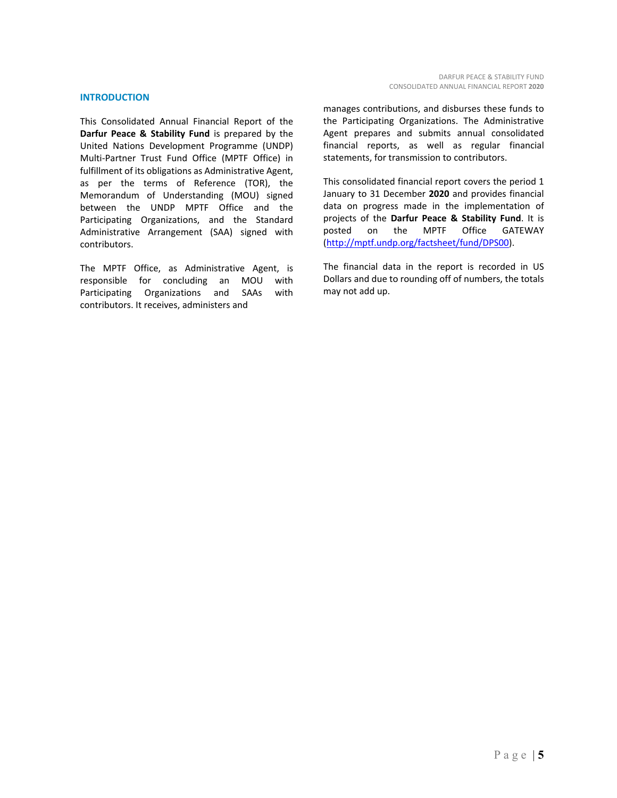# **INTRODUCTION**

This Consolidated Annual Financial Report of the **Darfur Peace & Stability Fund** is prepared by the United Nations Development Programme (UNDP) Multi‐Partner Trust Fund Office (MPTF Office) in fulfillment of its obligations as Administrative Agent, as per the terms of Reference (TOR), the Memorandum of Understanding (MOU) signed between the UNDP MPTF Office and the Participating Organizations, and the Standard Administrative Arrangement (SAA) signed with contributors.

The MPTF Office, as Administrative Agent, is responsible for concluding an MOU with Participating Organizations and SAAs with contributors. It receives, administers and

manages contributions, and disburses these funds to the Participating Organizations. The Administrative Agent prepares and submits annual consolidated financial reports, as well as regular financial statements, for transmission to contributors.

This consolidated financial report covers the period 1 January to 31 December **2020** and provides financial data on progress made in the implementation of projects of the **Darfur Peace & Stability Fund**. It is posted on the MPTF Office GATEWAY (http://mptf.undp.org/factsheet/fund/DPS00).

The financial data in the report is recorded in US Dollars and due to rounding off of numbers, the totals may not add up.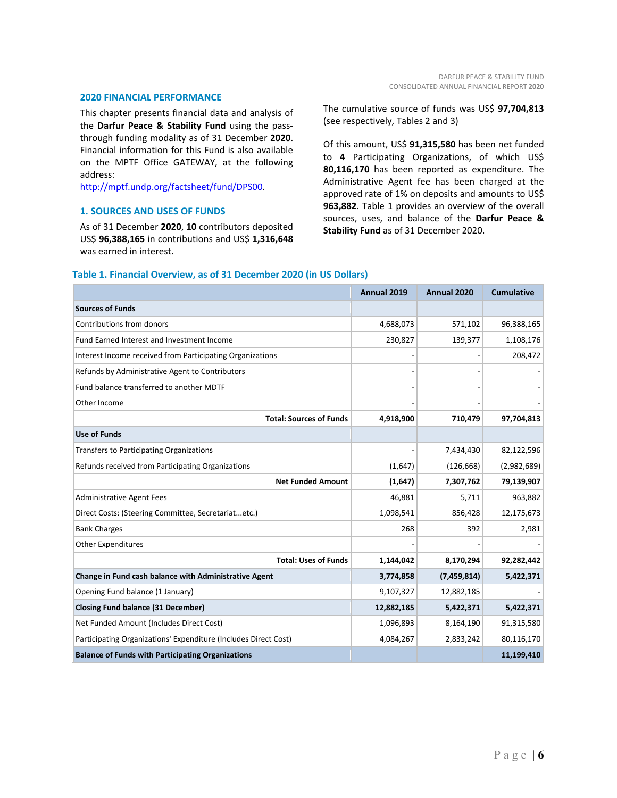#### **2020 FINANCIAL PERFORMANCE**

This chapter presents financial data and analysis of the **Darfur Peace & Stability Fund** using the pass‐ through funding modality as of 31 December **2020**. Financial information for this Fund is also available on the MPTF Office GATEWAY, at the following address:

http://mptf.undp.org/factsheet/fund/DPS00.

# **1. SOURCES AND USES OF FUNDS**

As of 31 December **2020**, **10** contributors deposited US\$ **96,388,165** in contributions and US\$ **1,316,648** was earned in interest.

The cumulative source of funds was US\$ **97,704,813** (see respectively, Tables 2 and 3)

Of this amount, US\$ **91,315,580** has been net funded to **4** Participating Organizations, of which US\$ **80,116,170** has been reported as expenditure. The Administrative Agent fee has been charged at the approved rate of 1% on deposits and amounts to US\$ **963,882**. Table 1 provides an overview of the overall sources, uses, and balance of the **Darfur Peace & Stability Fund** as of 31 December 2020.

|                                                                 | Annual 2019 | Annual 2020 | <b>Cumulative</b> |
|-----------------------------------------------------------------|-------------|-------------|-------------------|
| <b>Sources of Funds</b>                                         |             |             |                   |
| Contributions from donors                                       | 4,688,073   | 571,102     | 96,388,165        |
| Fund Earned Interest and Investment Income                      | 230,827     | 139,377     | 1,108,176         |
| Interest Income received from Participating Organizations       |             |             | 208,472           |
| Refunds by Administrative Agent to Contributors                 |             |             |                   |
| Fund balance transferred to another MDTF                        |             |             |                   |
| Other Income                                                    |             |             |                   |
| <b>Total: Sources of Funds</b>                                  | 4,918,900   | 710,479     | 97,704,813        |
| <b>Use of Funds</b>                                             |             |             |                   |
| Transfers to Participating Organizations                        |             | 7,434,430   | 82,122,596        |
| Refunds received from Participating Organizations               | (1,647)     | (126, 668)  | (2,982,689)       |
| <b>Net Funded Amount</b>                                        | (1,647)     | 7,307,762   | 79,139,907        |
| <b>Administrative Agent Fees</b>                                | 46,881      | 5,711       | 963,882           |
| Direct Costs: (Steering Committee, Secretariatetc.)             | 1,098,541   | 856,428     | 12,175,673        |
| <b>Bank Charges</b>                                             | 268         | 392         | 2,981             |
| <b>Other Expenditures</b>                                       |             |             |                   |
| <b>Total: Uses of Funds</b>                                     | 1,144,042   | 8,170,294   | 92,282,442        |
| Change in Fund cash balance with Administrative Agent           | 3,774,858   | (7,459,814) | 5,422,371         |
| Opening Fund balance (1 January)                                | 9,107,327   | 12,882,185  |                   |
| <b>Closing Fund balance (31 December)</b>                       | 12,882,185  | 5,422,371   | 5,422,371         |
| Net Funded Amount (Includes Direct Cost)                        | 1,096,893   | 8,164,190   | 91,315,580        |
| Participating Organizations' Expenditure (Includes Direct Cost) | 4,084,267   | 2,833,242   | 80,116,170        |
| <b>Balance of Funds with Participating Organizations</b>        |             |             | 11,199,410        |

# **Table 1. Financial Overview, as of 31 December 2020 (in US Dollars)**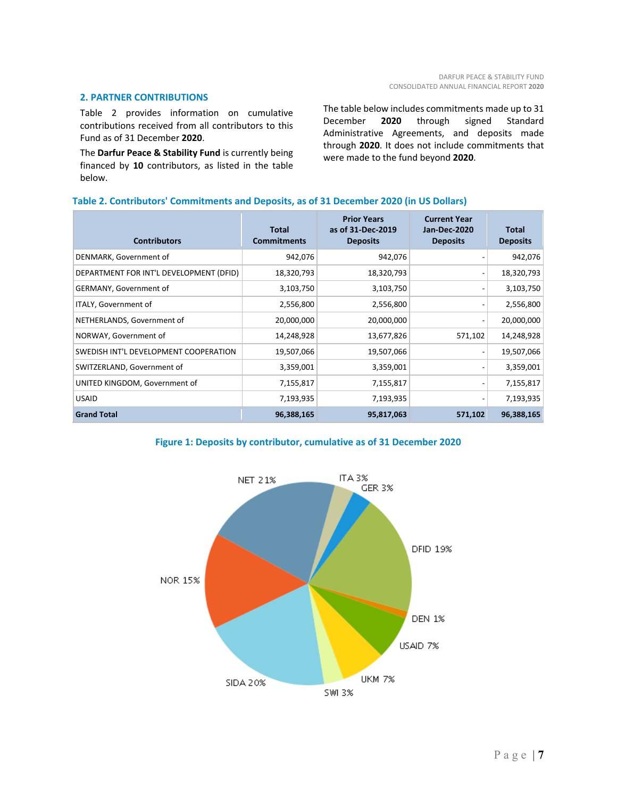# **2. PARTNER CONTRIBUTIONS**

Table 2 provides information on cumulative contributions received from all contributors to this Fund as of 31 December **2020**.

The **Darfur Peace & Stability Fund** is currently being financed by **10** contributors, as listed in the table below.

The table below includes commitments made up to 31 December **2020** through signed Standard Administrative Agreements, and deposits made through **2020**. It does not include commitments that were made to the fund beyond **2020**.

# **Table 2. Contributors' Commitments and Deposits, as of 31 December 2020 (in US Dollars)**

| <b>Contributors</b>                     | <b>Total</b><br><b>Commitments</b> | <b>Prior Years</b><br>as of 31-Dec-2019<br><b>Deposits</b> | <b>Current Year</b><br><b>Jan-Dec-2020</b><br><b>Deposits</b> | Total<br><b>Deposits</b> |
|-----------------------------------------|------------------------------------|------------------------------------------------------------|---------------------------------------------------------------|--------------------------|
| DENMARK, Government of                  | 942,076                            | 942,076                                                    |                                                               | 942,076                  |
| DEPARTMENT FOR INT'L DEVELOPMENT (DFID) | 18,320,793                         | 18,320,793                                                 |                                                               | 18,320,793               |
| GERMANY, Government of                  | 3,103,750                          | 3,103,750                                                  |                                                               | 3,103,750                |
| ITALY, Government of                    | 2,556,800                          | 2,556,800                                                  |                                                               | 2,556,800                |
| NETHERLANDS, Government of              | 20,000,000                         | 20,000,000                                                 |                                                               | 20,000,000               |
| NORWAY, Government of                   | 14,248,928                         | 13,677,826                                                 | 571,102                                                       | 14,248,928               |
| SWEDISH INT'L DEVELOPMENT COOPERATION   | 19,507,066                         | 19,507,066                                                 |                                                               | 19,507,066               |
| SWITZERLAND, Government of              | 3,359,001                          | 3,359,001                                                  |                                                               | 3,359,001                |
| UNITED KINGDOM, Government of           | 7,155,817                          | 7,155,817                                                  |                                                               | 7,155,817                |
| <b>USAID</b>                            | 7,193,935                          | 7,193,935                                                  |                                                               | 7,193,935                |
| <b>Grand Total</b>                      | 96,388,165                         | 95,817,063                                                 | 571,102                                                       | 96,388,165               |



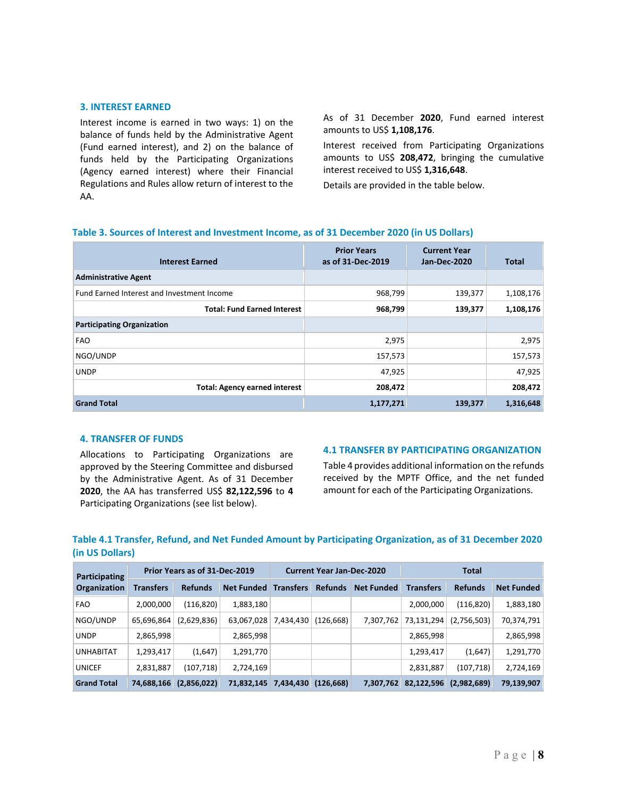# **3. INTEREST EARNED**

Interest income is earned in two ways: 1) on the balance of funds held by the Administrative Agent (Fund earned interest), and 2) on the balance of funds held by the Participating Organizations (Agency earned interest) where their Financial Regulations and Rules allow return of interest to the AA.

As of 31 December **2020**, Fund earned interest amounts to US\$ **1,108,176**.

Interest received from Participating Organizations amounts to US\$ **208,472**, bringing the cumulative interest received to US\$ **1,316,648**.

Details are provided in the table below.

| <b>Interest Earned</b>                     | <b>Prior Years</b><br>as of 31-Dec-2019 | <b>Current Year</b><br><b>Jan-Dec-2020</b> | <b>Total</b> |
|--------------------------------------------|-----------------------------------------|--------------------------------------------|--------------|
| <b>Administrative Agent</b>                |                                         |                                            |              |
| Fund Earned Interest and Investment Income | 968,799                                 | 139,377                                    | 1,108,176    |
| <b>Total: Fund Earned Interest</b>         | 968,799                                 | 139,377                                    | 1,108,176    |
| <b>Participating Organization</b>          |                                         |                                            |              |
| <b>FAO</b>                                 | 2,975                                   |                                            | 2,975        |
| NGO/UNDP                                   | 157,573                                 |                                            | 157,573      |
| <b>UNDP</b>                                | 47,925                                  |                                            | 47,925       |
| <b>Total: Agency earned interest</b>       | 208,472                                 |                                            | 208,472      |
| <b>Grand Total</b>                         | 1,177,271                               | 139,377                                    | 1,316,648    |

# **Table 3. Sources of Interest and Investment Income, as of 31 December 2020 (in US Dollars)**

# **4. TRANSFER OF FUNDS**

Allocations to Participating Organizations are approved by the Steering Committee and disbursed by the Administrative Agent. As of 31 December **2020**, the AA has transferred US\$ **82,122,596** to **4** Participating Organizations (see list below).

# **4.1 TRANSFER BY PARTICIPATING ORGANIZATION**

Table 4 provides additional information on the refunds received by the MPTF Office, and the net funded amount for each of the Participating Organizations.

# **Table 4.1 Transfer, Refund, and Net Funded Amount by Participating Organization, as of 31 December 2020 (in US Dollars)**

| Participating       | Prior Years as of 31-Dec-2019 |                |                   | <b>Current Year Jan-Dec-2020</b> |                |                   | <b>Total</b>     |                |                   |
|---------------------|-------------------------------|----------------|-------------------|----------------------------------|----------------|-------------------|------------------|----------------|-------------------|
| <b>Organization</b> | <b>Transfers</b>              | <b>Refunds</b> | <b>Net Funded</b> | <b>Transfers</b>                 | <b>Refunds</b> | <b>Net Funded</b> | <b>Transfers</b> | <b>Refunds</b> | <b>Net Funded</b> |
| <b>FAO</b>          | 2,000,000                     | (116, 820)     | 1,883,180         |                                  |                |                   | 2,000,000        | (116, 820)     | 1,883,180         |
| NGO/UNDP            | 65,696,864                    | (2,629,836)    | 63,067,028        | 7,434,430                        | (126, 668)     | 7,307,762         | 73,131,294       | (2,756,503)    | 70,374,791        |
| <b>UNDP</b>         | 2,865,998                     |                | 2,865,998         |                                  |                |                   | 2,865,998        |                | 2,865,998         |
| <b>UNHABITAT</b>    | 1,293,417                     | (1,647)        | 1,291,770         |                                  |                |                   | 1,293,417        | (1,647)        | 1,291,770         |
| <b>UNICEF</b>       | 2,831,887                     | (107, 718)     | 2,724,169         |                                  |                |                   | 2,831,887        | (107, 718)     | 2,724,169         |
| <b>Grand Total</b>  | 74,688,166                    | (2,856,022)    | 71,832,145        | 7,434,430                        | (126, 668)     | 7,307,762         | 82,122,596       | (2,982,689)    | 79,139,907        |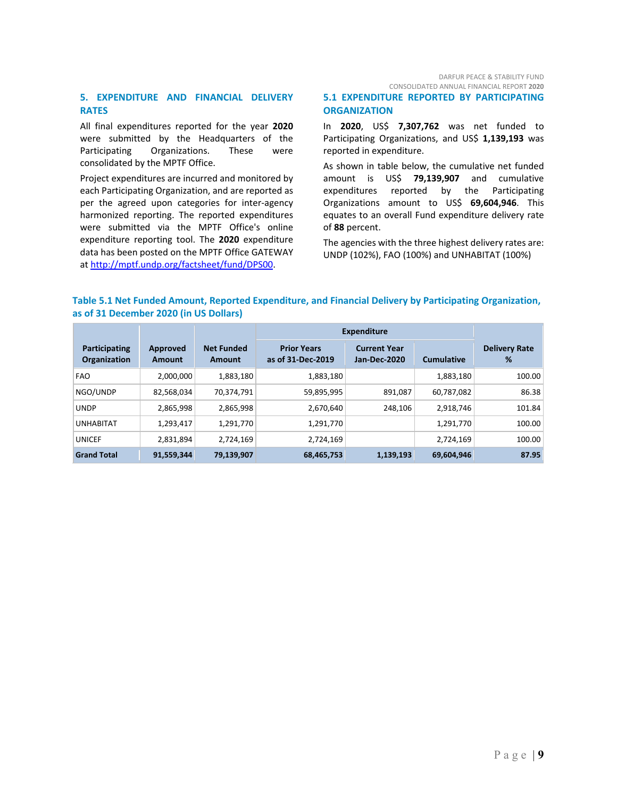DARFUR PEACE & STABILITY FUND CONSOLIDATED ANNUAL FINANCIAL REPORT **2020**

# **5. EXPENDITURE AND FINANCIAL DELIVERY RATES**

All final expenditures reported for the year **2020** were submitted by the Headquarters of the Participating Organizations. These were consolidated by the MPTF Office.

Project expenditures are incurred and monitored by each Participating Organization, and are reported as per the agreed upon categories for inter-agency harmonized reporting. The reported expenditures were submitted via the MPTF Office's online expenditure reporting tool. The **2020** expenditure data has been posted on the MPTF Office GATEWAY at http://mptf.undp.org/factsheet/fund/DPS00.

**5.1 EXPENDITURE REPORTED BY PARTICIPATING ORGANIZATION**

In **2020**, US\$ **7,307,762** was net funded to Participating Organizations, and US\$ 1,139,193 was reported in expenditure.

As shown in table below, the cumulative net funded amount is US\$ **79,139,907** and cumulative expenditures reported by the Participating Organizations amount to US\$ **69,604,946**. This equates to an overall Fund expenditure delivery rate of **88** percent.

The agencies with the three highest delivery rates are: UNDP (102%), FAO (100%) and UNHABITAT (100%)

# **Table 5.1 Net Funded Amount, Reported Expenditure, and Financial Delivery by Participating Organization, as of 31 December 2020 (in US Dollars)**

|                               |                    |                             | <b>Expenditure</b>                      |                                     |                   |                           |
|-------------------------------|--------------------|-----------------------------|-----------------------------------------|-------------------------------------|-------------------|---------------------------|
| Participating<br>Organization | Approved<br>Amount | <b>Net Funded</b><br>Amount | <b>Prior Years</b><br>as of 31-Dec-2019 | <b>Current Year</b><br>Jan-Dec-2020 | <b>Cumulative</b> | <b>Delivery Rate</b><br>% |
| <b>FAO</b>                    | 2,000,000          | 1,883,180                   | 1,883,180                               |                                     | 1,883,180         | 100.00                    |
| NGO/UNDP                      | 82,568,034         | 70.374.791                  | 59,895,995                              | 891.087                             | 60,787,082        | 86.38                     |
| <b>UNDP</b>                   | 2,865,998          | 2,865,998                   | 2,670,640                               | 248.106                             | 2,918,746         | 101.84                    |
| <b>UNHABITAT</b>              | 1,293,417          | 1,291,770                   | 1,291,770                               |                                     | 1,291,770         | 100.00                    |
| <b>UNICEF</b>                 | 2,831,894          | 2,724,169                   | 2,724,169                               |                                     | 2,724,169         | 100.00                    |
| <b>Grand Total</b>            | 91,559,344         | 79,139,907                  | 68,465,753                              | 1,139,193                           | 69,604,946        | 87.95                     |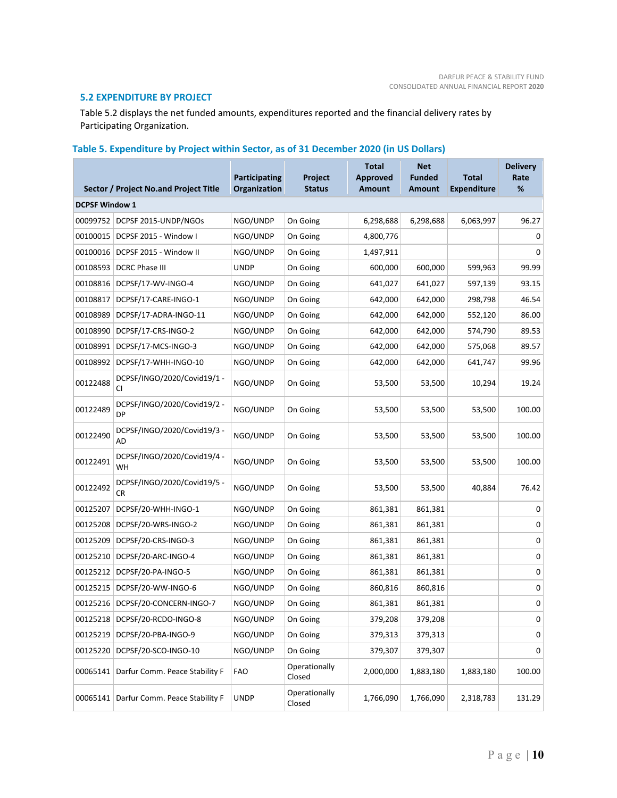# **5.2 EXPENDITURE BY PROJECT**

Table 5.2 displays the net funded amounts, expenditures reported and the financial delivery rates by Participating Organization.

# **Table 5. Expenditure by Project within Sector, as of 31 December 2020 (in US Dollars)**

|                       | Sector / Project No.and Project Title    | <b>Participating</b><br>Organization | Project<br><b>Status</b> | <b>Total</b><br><b>Approved</b><br><b>Amount</b> | <b>Net</b><br><b>Funded</b><br><b>Amount</b> | <b>Total</b><br><b>Expenditure</b> | <b>Delivery</b><br>Rate<br>% |
|-----------------------|------------------------------------------|--------------------------------------|--------------------------|--------------------------------------------------|----------------------------------------------|------------------------------------|------------------------------|
| <b>DCPSF Window 1</b> |                                          |                                      |                          |                                                  |                                              |                                    |                              |
| 00099752              | DCPSF 2015-UNDP/NGOs                     | NGO/UNDP                             | On Going                 | 6,298,688                                        | 6,298,688                                    | 6,063,997                          | 96.27                        |
| 00100015              | DCPSF 2015 - Window I                    | NGO/UNDP                             | On Going                 | 4,800,776                                        |                                              |                                    | 0                            |
| 00100016              | DCPSF 2015 - Window II                   | NGO/UNDP                             | On Going                 | 1,497,911                                        |                                              |                                    | 0                            |
| 00108593              | <b>DCRC Phase III</b>                    | <b>UNDP</b>                          | On Going                 | 600,000                                          | 600,000                                      | 599,963                            | 99.99                        |
| 00108816              | DCPSF/17-WV-INGO-4                       | NGO/UNDP                             | On Going                 | 641,027                                          | 641,027                                      | 597,139                            | 93.15                        |
| 00108817              | DCPSF/17-CARE-INGO-1                     | NGO/UNDP                             | On Going                 | 642,000                                          | 642,000                                      | 298,798                            | 46.54                        |
| 00108989              | DCPSF/17-ADRA-INGO-11                    | NGO/UNDP                             | On Going                 | 642,000                                          | 642,000                                      | 552,120                            | 86.00                        |
| 00108990              | DCPSF/17-CRS-INGO-2                      | NGO/UNDP                             | On Going                 | 642,000                                          | 642,000                                      | 574,790                            | 89.53                        |
| 00108991              | DCPSF/17-MCS-INGO-3                      | NGO/UNDP                             | On Going                 | 642,000                                          | 642,000                                      | 575,068                            | 89.57                        |
| 00108992              | DCPSF/17-WHH-INGO-10                     | NGO/UNDP                             | On Going                 | 642,000                                          | 642,000                                      | 641,747                            | 99.96                        |
| 00122488              | DCPSF/INGO/2020/Covid19/1 -<br>CI.       | NGO/UNDP                             | On Going                 | 53,500                                           | 53,500                                       | 10,294                             | 19.24                        |
| 00122489              | DCPSF/INGO/2020/Covid19/2 -<br><b>DP</b> | NGO/UNDP                             | On Going                 | 53,500                                           | 53,500                                       | 53,500                             | 100.00                       |
| 00122490              | DCPSF/INGO/2020/Covid19/3 -<br>AD        | NGO/UNDP                             | On Going                 | 53,500                                           | 53,500                                       | 53,500                             | 100.00                       |
| 00122491              | DCPSF/INGO/2020/Covid19/4 -<br>WH        | NGO/UNDP                             | On Going                 | 53,500                                           | 53,500                                       | 53,500                             | 100.00                       |
| 00122492              | DCPSF/INGO/2020/Covid19/5 -<br>CR.       | NGO/UNDP                             | On Going                 | 53,500                                           | 53,500                                       | 40,884                             | 76.42                        |
| 00125207              | DCPSF/20-WHH-INGO-1                      | NGO/UNDP                             | On Going                 | 861,381                                          | 861,381                                      |                                    | 0                            |
| 00125208              | DCPSF/20-WRS-INGO-2                      | NGO/UNDP                             | On Going                 | 861,381                                          | 861,381                                      |                                    | 0                            |
| 00125209              | DCPSF/20-CRS-INGO-3                      | NGO/UNDP                             | On Going                 | 861,381                                          | 861,381                                      |                                    | 0                            |
| 00125210              | DCPSF/20-ARC-INGO-4                      | NGO/UNDP                             | On Going                 | 861,381                                          | 861,381                                      |                                    | 0                            |
| 00125212              | DCPSF/20-PA-INGO-5                       | NGO/UNDP                             | On Going                 | 861,381                                          | 861,381                                      |                                    | 0                            |
| 00125215              | DCPSF/20-WW-INGO-6                       | NGO/UNDP                             | On Going                 | 860,816                                          | 860,816                                      |                                    | 0                            |
| 00125216              | DCPSF/20-CONCERN-INGO-7                  | NGO/UNDP                             | On Going                 | 861,381                                          | 861,381                                      |                                    | 0                            |
| 00125218              | DCPSF/20-RCDO-INGO-8                     | NGO/UNDP                             | On Going                 | 379,208                                          | 379,208                                      |                                    | 0                            |
| 00125219              | DCPSF/20-PBA-INGO-9                      | NGO/UNDP                             | On Going                 | 379,313                                          | 379,313                                      |                                    | 0                            |
| 00125220              | DCPSF/20-SCO-INGO-10                     | NGO/UNDP                             | On Going                 | 379,307                                          | 379,307                                      |                                    | 0                            |
| 00065141              | Darfur Comm. Peace Stability F           | <b>FAO</b>                           | Operationally<br>Closed  | 2,000,000                                        | 1,883,180                                    | 1,883,180                          | 100.00                       |
| 00065141              | Darfur Comm. Peace Stability F           | <b>UNDP</b>                          | Operationally<br>Closed  | 1,766,090                                        | 1,766,090                                    | 2,318,783                          | 131.29                       |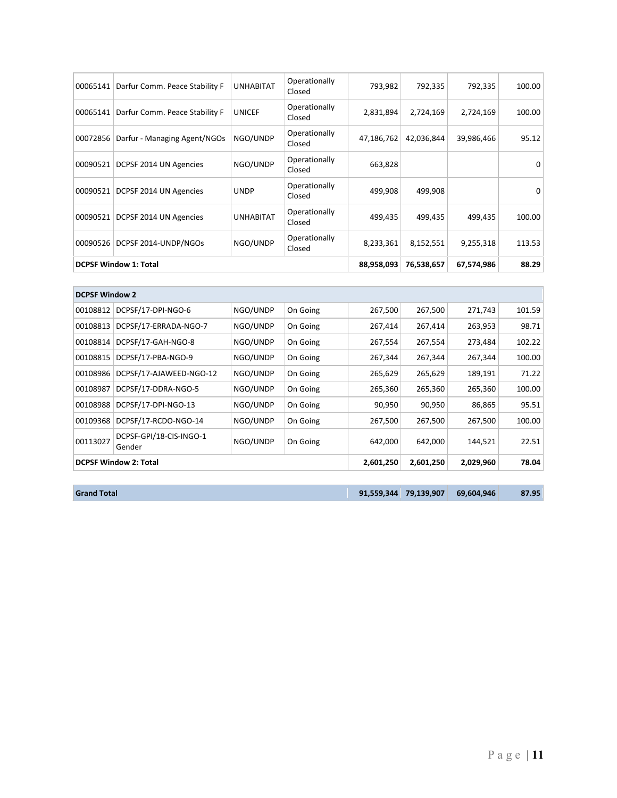| 00065141                     | Darfur Comm. Peace Stability F | <b>UNHABITAT</b> | Operationally<br>Closed | 793,982    | 792,335    | 792,335    | 100.00 |
|------------------------------|--------------------------------|------------------|-------------------------|------------|------------|------------|--------|
| 00065141                     | Darfur Comm. Peace Stability F | <b>UNICEF</b>    | Operationally<br>Closed | 2,831,894  | 2,724,169  | 2,724,169  | 100.00 |
| 00072856                     | Darfur - Managing Agent/NGOs   | NGO/UNDP         | Operationally<br>Closed | 47,186,762 | 42,036,844 | 39,986,466 | 95.12  |
| 00090521                     | DCPSF 2014 UN Agencies         | NGO/UNDP         | Operationally<br>Closed | 663,828    |            |            | 0      |
| 00090521                     | DCPSF 2014 UN Agencies         | <b>UNDP</b>      | Operationally<br>Closed | 499,908    | 499,908    |            | 0      |
| 00090521                     | DCPSF 2014 UN Agencies         | <b>UNHABITAT</b> | Operationally<br>Closed | 499,435    | 499.435    | 499.435    | 100.00 |
| 00090526                     | DCPSF 2014-UNDP/NGOs           | NGO/UNDP         | Operationally<br>Closed | 8,233,361  | 8,152,551  | 9,255,318  | 113.53 |
| <b>DCPSF Window 1: Total</b> |                                |                  |                         | 88,958,093 | 76,538,657 | 67,574,986 | 88.29  |

| <b>DCPSF Window 2</b>        |                                   |          |          |           |           |           |        |
|------------------------------|-----------------------------------|----------|----------|-----------|-----------|-----------|--------|
| 00108812                     | DCPSF/17-DPI-NGO-6                | NGO/UNDP | On Going | 267,500   | 267,500   | 271,743   | 101.59 |
| 00108813                     | DCPSF/17-ERRADA-NGO-7             | NGO/UNDP | On Going | 267,414   | 267,414   | 263,953   | 98.71  |
| 00108814                     | DCPSF/17-GAH-NGO-8                | NGO/UNDP | On Going | 267,554   | 267,554   | 273,484   | 102.22 |
| 00108815                     | DCPSF/17-PBA-NGO-9                | NGO/UNDP | On Going | 267,344   | 267,344   | 267,344   | 100.00 |
| 00108986                     | DCPSF/17-AJAWEED-NGO-12           | NGO/UNDP | On Going | 265,629   | 265,629   | 189,191   | 71.22  |
| 00108987                     | DCPSF/17-DDRA-NGO-5               | NGO/UNDP | On Going | 265,360   | 265,360   | 265,360   | 100.00 |
| 00108988                     | DCPSF/17-DPI-NGO-13               | NGO/UNDP | On Going | 90,950    | 90,950    | 86,865    | 95.51  |
| 00109368                     | DCPSF/17-RCDO-NGO-14              | NGO/UNDP | On Going | 267.500   | 267,500   | 267,500   | 100.00 |
| 00113027                     | DCPSF-GPI/18-CIS-INGO-1<br>Gender | NGO/UNDP | On Going | 642,000   | 642,000   | 144,521   | 22.51  |
| <b>DCPSF Window 2: Total</b> |                                   |          |          | 2,601,250 | 2,601,250 | 2,029,960 | 78.04  |

|  | <b>Grand Total</b> |
|--|--------------------|
|  |                    |

**Grand Total 91,559,344 79,139,907 69,604,946 87.95**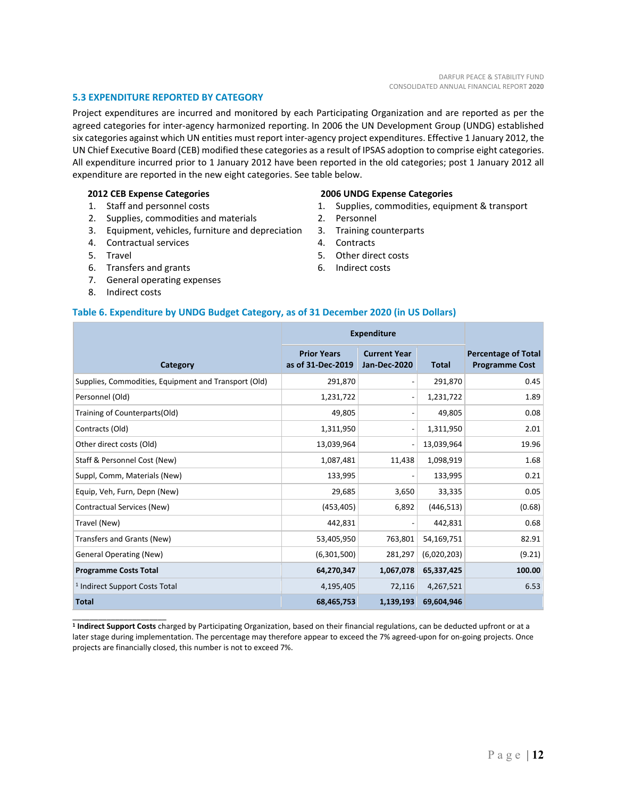# **5.3 EXPENDITURE REPORTED BY CATEGORY**

Project expenditures are incurred and monitored by each Participating Organization and are reported as per the agreed categories for inter‐agency harmonized reporting. In 2006 the UN Development Group (UNDG) established six categories against which UN entities must report inter-agency project expenditures. Effective 1 January 2012, the UN Chief Executive Board (CEB) modified these categories as a result of IPSAS adoption to comprise eight categories. All expenditure incurred prior to 1 January 2012 have been reported in the old categories; post 1 January 2012 all expenditure are reported in the new eight categories. See table below.

#### **2012 CEB Expense Categories**

- 1. Staff and personnel costs
- 2. Supplies, commodities and materials
- 3. Equipment, vehicles, furniture and depreciation
- 4. Contractual services
- 5. Travel
- 6. Transfers and grants
- 7. General operating expenses
- 8. Indirect costs

\_\_\_\_\_\_\_\_\_\_\_\_\_\_\_\_\_\_\_\_\_\_

#### **2006 UNDG Expense Categories**

- 1. Supplies, commodities, equipment & transport
- 2. Personnel
- 3. Training counterparts
- 4. Contracts
- 5. Other direct costs
- 6. Indirect costs

#### **Table 6. Expenditure by UNDG Budget Category, as of 31 December 2020 (in US Dollars)**

|                                                      | <b>Expenditure</b>                      |                                            |              |                                                     |
|------------------------------------------------------|-----------------------------------------|--------------------------------------------|--------------|-----------------------------------------------------|
| Category                                             | <b>Prior Years</b><br>as of 31-Dec-2019 | <b>Current Year</b><br><b>Jan-Dec-2020</b> | <b>Total</b> | <b>Percentage of Total</b><br><b>Programme Cost</b> |
| Supplies, Commodities, Equipment and Transport (Old) | 291,870                                 |                                            | 291,870      | 0.45                                                |
| Personnel (Old)                                      | 1,231,722                               |                                            | 1,231,722    | 1.89                                                |
| Training of Counterparts(Old)                        | 49,805                                  |                                            | 49,805       | 0.08                                                |
| Contracts (Old)                                      | 1,311,950                               |                                            | 1,311,950    | 2.01                                                |
| Other direct costs (Old)                             | 13,039,964                              |                                            | 13,039,964   | 19.96                                               |
| Staff & Personnel Cost (New)                         | 1,087,481                               | 11,438                                     | 1,098,919    | 1.68                                                |
| Suppl, Comm, Materials (New)                         | 133,995                                 |                                            | 133,995      | 0.21                                                |
| Equip, Veh, Furn, Depn (New)                         | 29,685                                  | 3,650                                      | 33,335       | 0.05                                                |
| Contractual Services (New)                           | (453, 405)                              | 6,892                                      | (446, 513)   | (0.68)                                              |
| Travel (New)                                         | 442,831                                 |                                            | 442,831      | 0.68                                                |
| Transfers and Grants (New)                           | 53,405,950                              | 763,801                                    | 54,169,751   | 82.91                                               |
| <b>General Operating (New)</b>                       | (6,301,500)                             | 281,297                                    | (6,020,203)  | (9.21)                                              |
| <b>Programme Costs Total</b>                         | 64,270,347                              | 1,067,078                                  | 65,337,425   | 100.00                                              |
| <sup>1</sup> Indirect Support Costs Total            | 4,195,405                               | 72,116                                     | 4,267,521    | 6.53                                                |
| <b>Total</b>                                         | 68,465,753                              | 1,139,193                                  | 69,604,946   |                                                     |

**<sup>1</sup> Indirect Support Costs** charged by Participating Organization, based on their financial regulations, can be deducted upfront or at a later stage during implementation. The percentage may therefore appear to exceed the 7% agreed‐upon for on‐going projects. Once projects are financially closed, this number is not to exceed 7%.